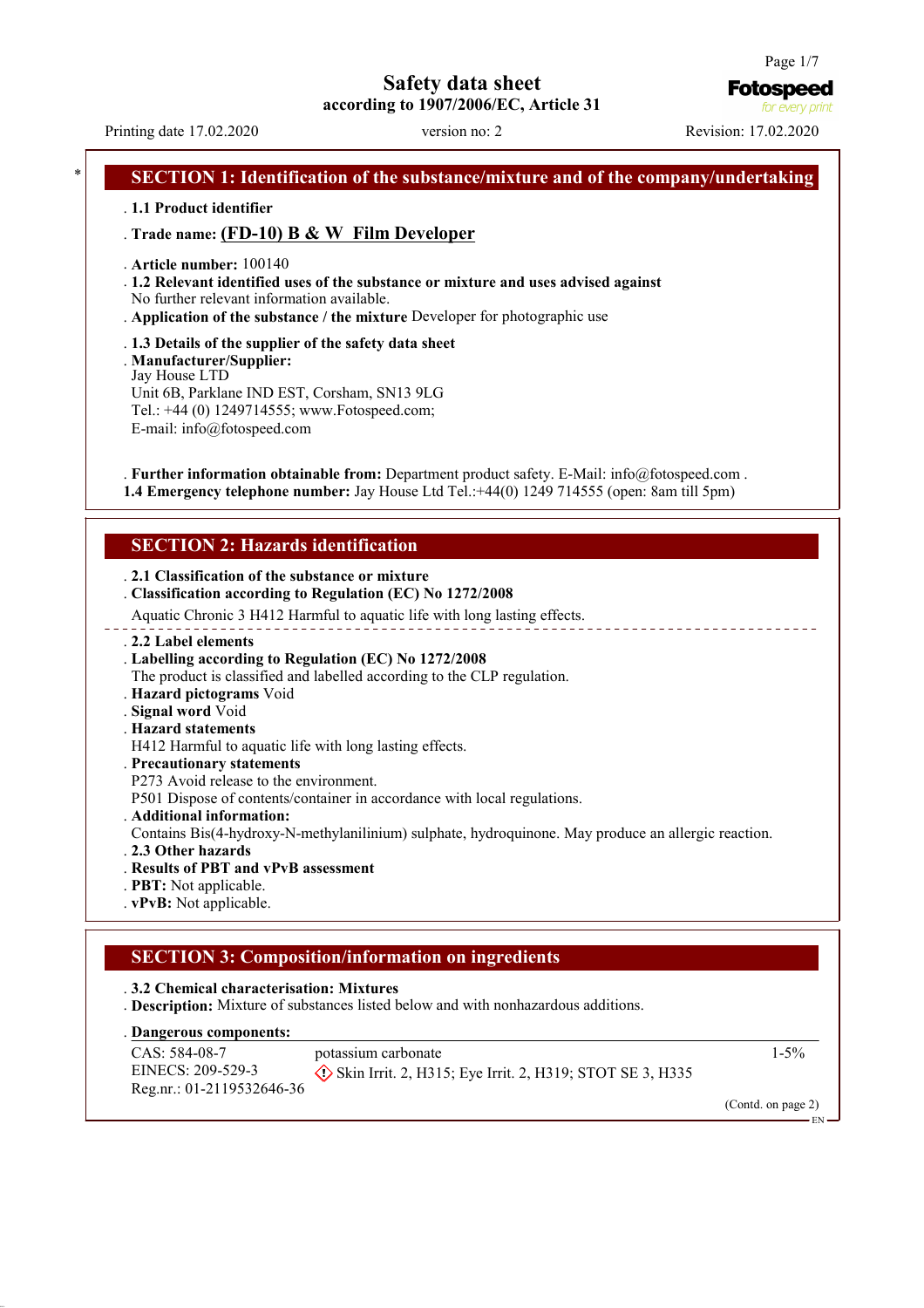Printing date 17.02.2020 version no: 2 Revision: 17.02.2020

**Fotospeed** for every print

# **SECTION 1: Identification of the substance/mixture and of the company/undertaking** . **1.1 Product identifier** . **Trade name: (FD-10) B & W Film Developer** . **Article number:** 100140 . **1.2 Relevant identified uses of the substance or mixture and uses advised against** No further relevant information available. . **Application of the substance / the mixture** Developer for photographic use . **1.3 Details of the supplier of the safety data sheet** . **Manufacturer/Supplier:** Jay House LTD Unit 6B, Parklane IND EST, Corsham, SN13 9LG Tel.: +44 (0) 1249714555; www.Fotospeed.com; E-mail: info@fotospeed.com . **Further information obtainable from:** Department product safety. E-Mail: info@fotospeed.com . **1.4 Emergency telephone number:** Jay House Ltd Tel.:+44(0) 1249 714555 (open: 8am till 5pm) **SECTION 2: Hazards identification** . **2.1 Classification of the substance or mixture** . **Classification according to Regulation (EC) No 1272/2008** Aquatic Chronic 3 H412 Harmful to aquatic life with long lasting effects. . **2.2 Label elements** . **Labelling according to Regulation (EC) No 1272/2008** The product is classified and labelled according to the CLP regulation. . **Hazard pictograms** Void . **Signal word** Void . **Hazard statements** H412 Harmful to aquatic life with long lasting effects. . **Precautionary statements** P273 Avoid release to the environment. P501 Dispose of contents/container in accordance with local regulations. . **Additional information:** Contains Bis(4-hydroxy-N-methylanilinium) sulphate, hydroquinone. May produce an allergic reaction. . **2.3 Other hazards** . **Results of PBT and vPvB assessment** . **PBT:** Not applicable. . **vPvB:** Not applicable. **SECTION 3: Composition/information on ingredients** . **3.2 Chemical characterisation: Mixtures** . **Description:** Mixture of substances listed below and with nonhazardous additions. **Dangerous components:** . CAS: 584-08-7 potassium carbonate 1-5%

EINECS: 209-529-3 Reg.nr.: 01-2119532646-36

Skin Irrit. 2, H315; Eye Irrit. 2, H319; STOT SE 3, H335

EN

(Contd. on page 2)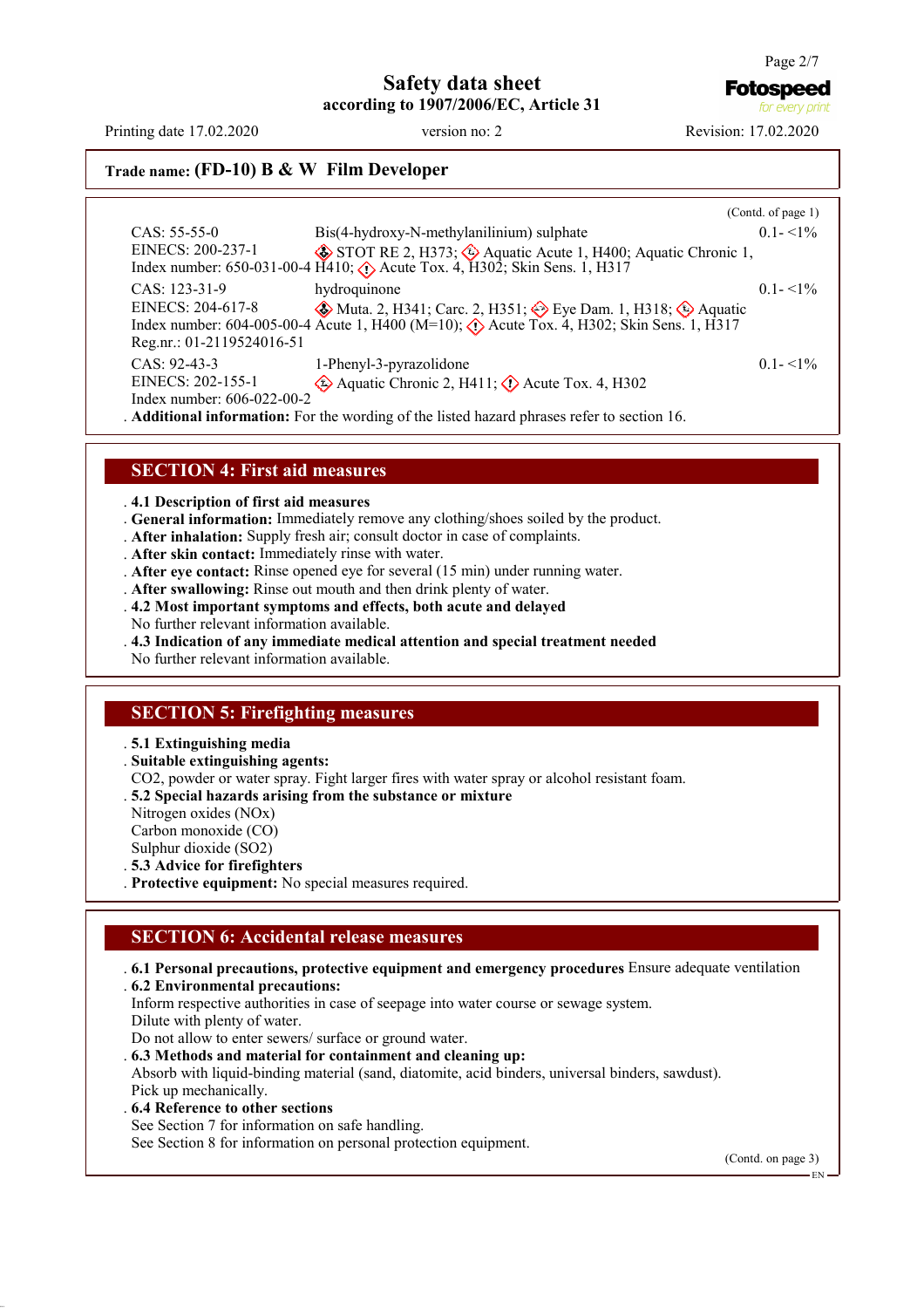**Fotospeed** 

for every print

**Trade name: (FD-10) B & W Film Developer**

|                                                                                                  |                                                                                                                                                                                  | (Cond. of page 1) |  |  |
|--------------------------------------------------------------------------------------------------|----------------------------------------------------------------------------------------------------------------------------------------------------------------------------------|-------------------|--|--|
| $CAS: 55-55-0$                                                                                   | Bis(4-hydroxy-N-methylanilinium) sulphate                                                                                                                                        | $0.1 - 1\%$       |  |  |
| EINECS: 200-237-1                                                                                | STOT RE 2, H373; $\Leftrightarrow$ Aquatic Acute 1, H400; Aquatic Chronic 1,<br>Index number: 650-031-00-4 H410; $\langle \cdot \rangle$ Acute Tox. 4, H302; Skin Sens. 1, H317  |                   |  |  |
| CAS: 123-31-9                                                                                    | hydroquinone                                                                                                                                                                     | $01 - 1\%$        |  |  |
| EINECS: 204-617-8<br>Reg.nr.: 01-2119524016-51                                                   | <b>◆</b> Muta. 2, H341; Carc. 2, H351; ◆ Eye Dam. 1, H318; ◆ Aquatic<br>Index number: 604-005-00-4 Acute 1, H400 (M=10); $\bigtriangleup$ Acute Tox. 4, H302; Skin Sens. 1, H317 |                   |  |  |
| $CAS: 92-43-3$                                                                                   | 1-Phenyl-3-pyrazolidone                                                                                                                                                          | $0.1 - 1\%$       |  |  |
| EINECS: 202-155-1                                                                                | $\Diamond$ Aquatic Chronic 2, H411; $\Diamond$ Acute Tox. 4, H302                                                                                                                |                   |  |  |
| Index number: 606-022-00-2                                                                       |                                                                                                                                                                                  |                   |  |  |
| <b>Additional information:</b> For the wording of the listed hazard phrases refer to section 16. |                                                                                                                                                                                  |                   |  |  |

#### **SECTION 4: First aid measures**

. **4.1 Description of first aid measures**

- . **General information:** Immediately remove any clothing/shoes soiled by the product.
- . **After inhalation:** Supply fresh air; consult doctor in case of complaints.
- . **After skin contact:** Immediately rinse with water.
- . **After eye contact:** Rinse opened eye for several (15 min) under running water.
- . **After swallowing:** Rinse out mouth and then drink plenty of water.
- . **4.2 Most important symptoms and effects, both acute and delayed**
- No further relevant information available.
- . **4.3 Indication of any immediate medical attention and special treatment needed**

No further relevant information available.

#### **SECTION 5: Firefighting measures**

#### . **5.1 Extinguishing media**

- . **Suitable extinguishing agents:**
- CO2, powder or water spray. Fight larger fires with water spray or alcohol resistant foam.
- . **5.2 Special hazards arising from the substance or mixture**
- Nitrogen oxides (NOx)
- Carbon monoxide (CO)
- Sulphur dioxide (SO2)
- . **5.3 Advice for firefighters**
- . **Protective equipment:** No special measures required.

#### **SECTION 6: Accidental release measures**

. **6.1 Personal precautions, protective equipment and emergency procedures** Ensure adequate ventilation . **6.2 Environmental precautions:** Inform respective authorities in case of seepage into water course or sewage system. Dilute with plenty of water. Do not allow to enter sewers/ surface or ground water. . **6.3 Methods and material for containment and cleaning up:** Absorb with liquid-binding material (sand, diatomite, acid binders, universal binders, sawdust).

Pick up mechanically.

- . **6.4 Reference to other sections**
- See Section 7 for information on safe handling.

See Section 8 for information on personal protection equipment.

(Contd. on page 3)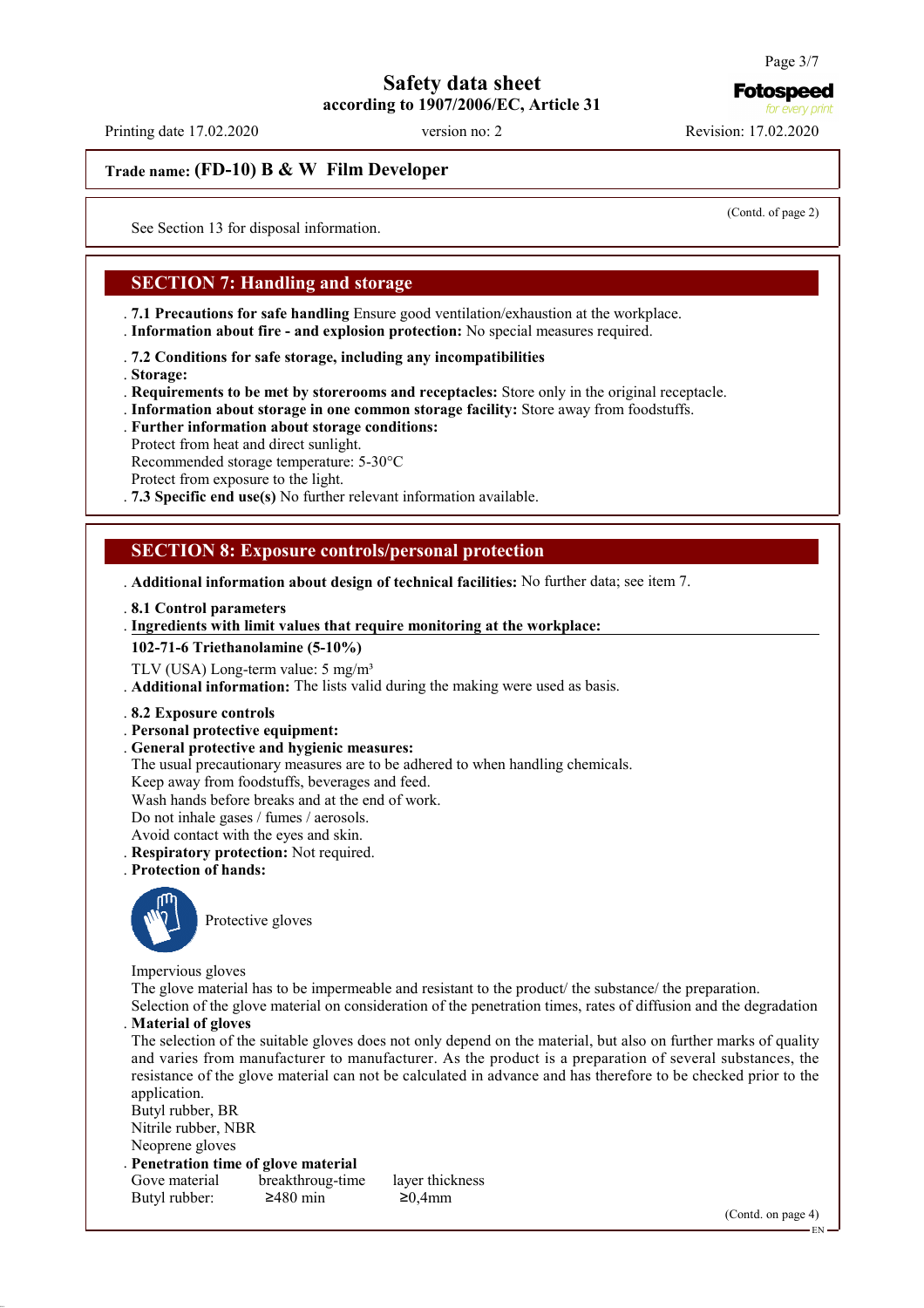**Fotospeed** for every print

# **Safety data sheet according to 1907/2006/EC, Article 31**

Printing date 17.02.2020 version no: 2 Revision: 17.02.2020

**Trade name: (FD-10) B & W Film Developer**

(Contd. of page 2)

See Section 13 for disposal information.

## **SECTION 7: Handling and storage**

. **7.1 Precautions for safe handling** Ensure good ventilation/exhaustion at the workplace.

. **Information about fire - and explosion protection:** No special measures required.

. **7.2 Conditions for safe storage, including any incompatibilities**

. **Storage:**

. **Requirements to be met by storerooms and receptacles:** Store only in the original receptacle.

. **Information about storage in one common storage facility:** Store away from foodstuffs.

. **Further information about storage conditions:**

Protect from heat and direct sunlight.

Recommended storage temperature: 5-30°C

Protect from exposure to the light.

. **7.3 Specific end use(s)** No further relevant information available.

## **SECTION 8: Exposure controls/personal protection**

. **Additional information about design of technical facilities:** No further data; see item 7.

. **8.1 Control parameters**

#### **Ingredients with limit values that require monitoring at the workplace:** .

**102-71-6 Triethanolamine (5-10%)**

TLV (USA) Long-term value: 5 mg/m<sup>3</sup>

. **Additional information:** The lists valid during the making were used as basis.

- . **8.2 Exposure controls**
- . **Personal protective equipment:**
- . **General protective and hygienic measures:**

The usual precautionary measures are to be adhered to when handling chemicals.

Keep away from foodstuffs, beverages and feed.

Wash hands before breaks and at the end of work.

Do not inhale gases / fumes / aerosols.

Avoid contact with the eyes and skin.

. **Respiratory protection:** Not required.

. **Protection of hands:**



Protective gloves

Impervious gloves

The glove material has to be impermeable and resistant to the product/ the substance/ the preparation.

Selection of the glove material on consideration of the penetration times, rates of diffusion and the degradation . **Material of gloves**

The selection of the suitable gloves does not only depend on the material, but also on further marks of quality and varies from manufacturer to manufacturer. As the product is a preparation of several substances, the resistance of the glove material can not be calculated in advance and has therefore to be checked prior to the application.

Butyl rubber, BR Nitrile rubber, NBR Neoprene gloves

. **Penetration time of glove material** Gove material breakthroug-time layer thickness

Butyl rubber:  $\geq 480$  min  $\geq 0,4$ mm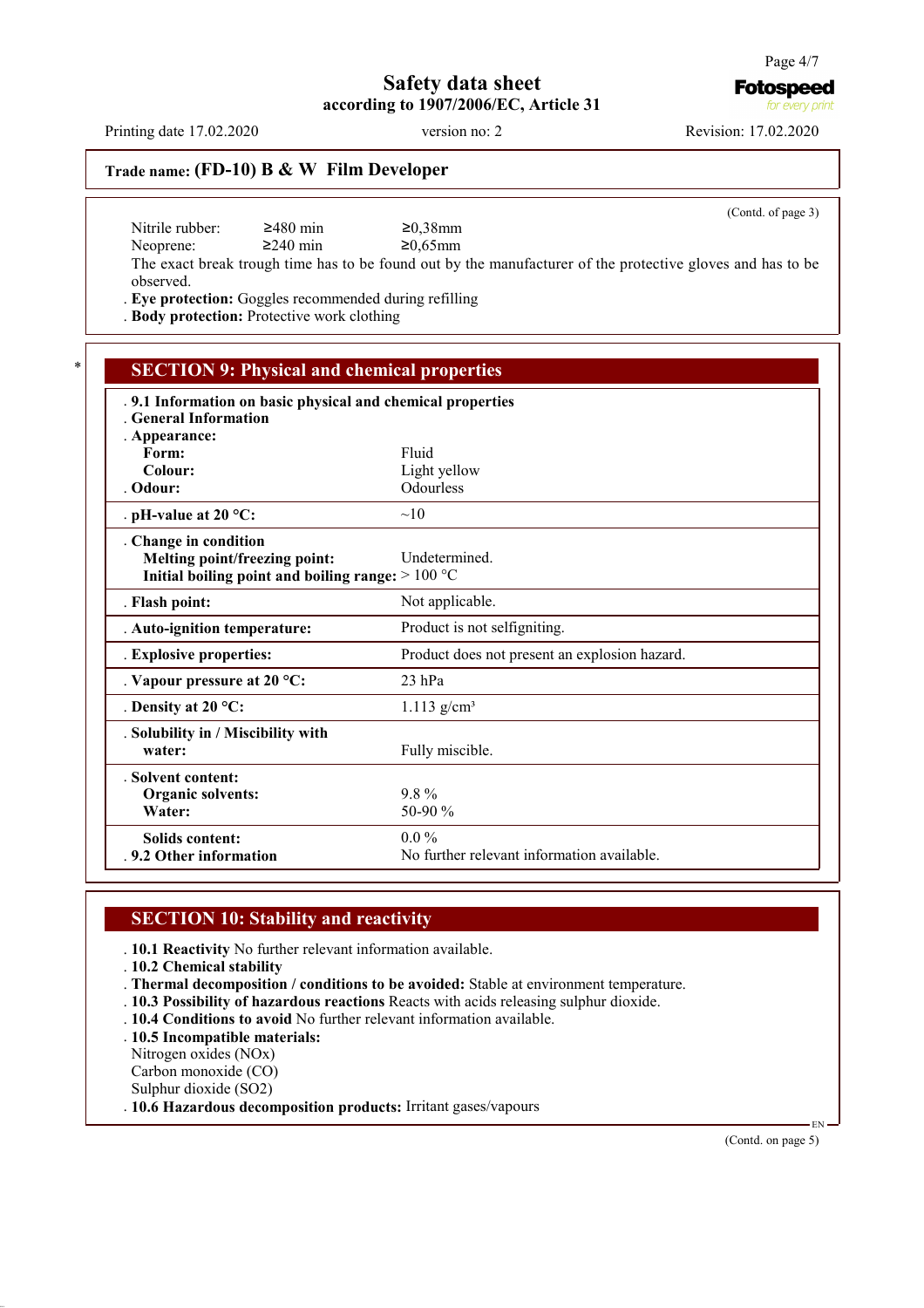**Fotospeed** for every print

# **Trade name: (FD-10) B & W Film Developer**

Nitrile rubber: 2480 min 20,38mm<br>Neoprene: 2240 min 20,65mm Neoprene:

(Contd. of page 3)

The exact break trough time has to be found out by the manufacturer of the protective gloves and has to be observed.

. **Eye protection:** Goggles recommended during refilling

. **Body protection:** Protective work clothing

| <b>SECTION 9: Physical and chemical properties</b>          |                                               |  |  |
|-------------------------------------------------------------|-----------------------------------------------|--|--|
| . 9.1 Information on basic physical and chemical properties |                                               |  |  |
| <b>General Information</b>                                  |                                               |  |  |
| . Appearance:                                               |                                               |  |  |
| Form:                                                       | Fluid                                         |  |  |
| Colour:                                                     | Light yellow                                  |  |  |
| . Odour:                                                    | Odourless                                     |  |  |
| . pH-value at $20 °C$ :                                     | $\sim$ 10                                     |  |  |
| . Change in condition                                       |                                               |  |  |
| Melting point/freezing point:                               | <b>Undetermined</b>                           |  |  |
| Initial boiling point and boiling range: $>100 °C$          |                                               |  |  |
| . Flash point:                                              | Not applicable.                               |  |  |
| . Auto-ignition temperature:                                | Product is not selfigniting.                  |  |  |
| . Explosive properties:                                     | Product does not present an explosion hazard. |  |  |
| . Vapour pressure at $20 °C$ :                              | $23$ hPa                                      |  |  |
| . Density at $20^{\circ}$ C:                                | $1.113$ g/cm <sup>3</sup>                     |  |  |
| . Solubility in / Miscibility with                          |                                               |  |  |
| water:                                                      | Fully miscible.                               |  |  |
| Solvent content:                                            |                                               |  |  |
| Organic solvents:                                           | $9.8\%$                                       |  |  |
| Water:                                                      | 50-90 %                                       |  |  |
| <b>Solids content:</b>                                      | $0.0\%$                                       |  |  |
| .9.2 Other information                                      | No further relevant information available.    |  |  |

### **SECTION 10: Stability and reactivity**

. **10.1 Reactivity** No further relevant information available.

. **10.2 Chemical stability**

. **Thermal decomposition / conditions to be avoided:** Stable at environment temperature.

- . **10.3 Possibility of hazardous reactions** Reacts with acids releasing sulphur dioxide.
- . **10.4 Conditions to avoid** No further relevant information available.

. **10.5 Incompatible materials:**

Nitrogen oxides (NOx)

Carbon monoxide (CO)

Sulphur dioxide (SO2)

. **10.6 Hazardous decomposition products:** Irritant gases/vapours

(Contd. on page 5)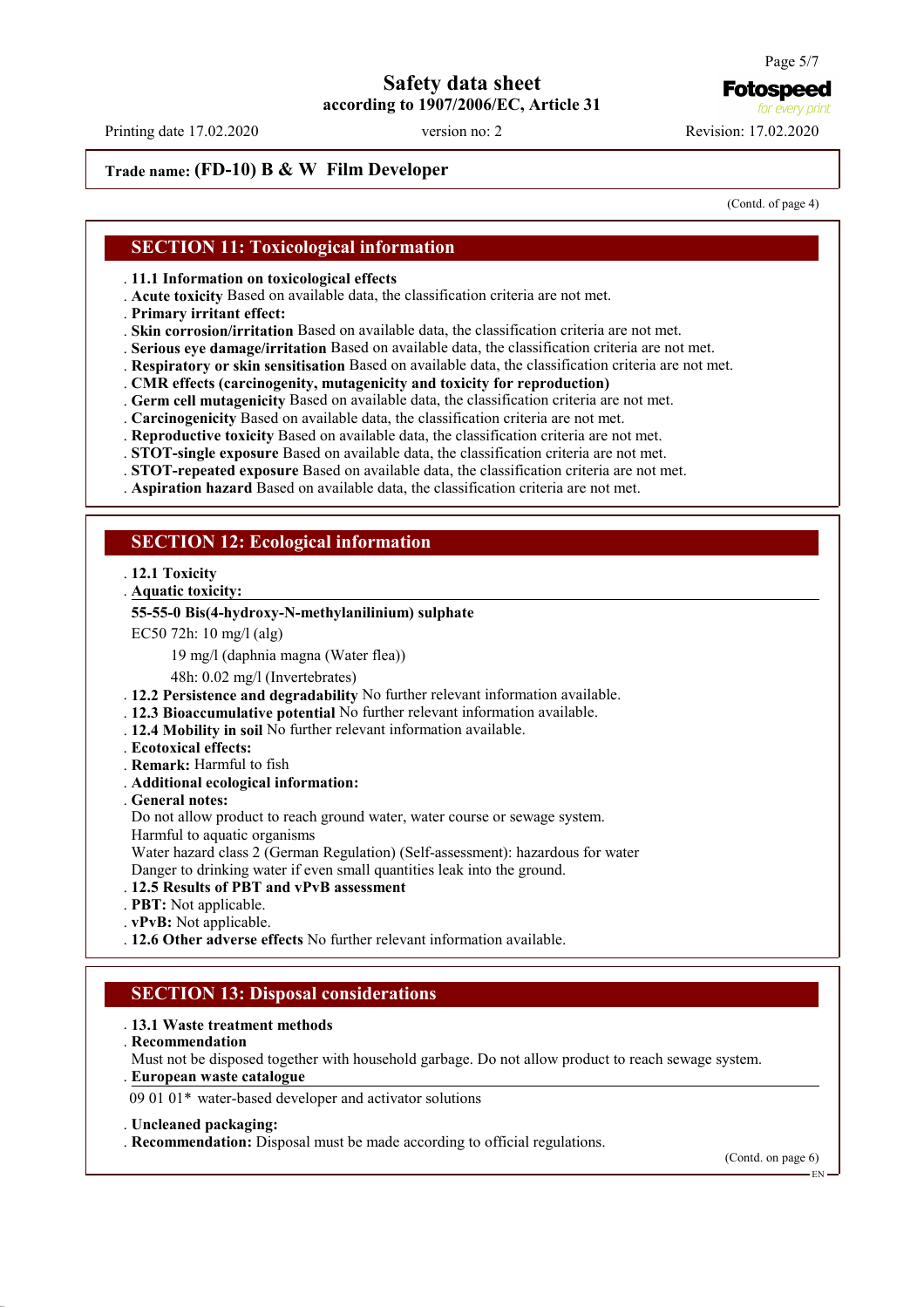## **Trade name: (FD-10) B & W Film Developer**

(Contd. of page 4)

#### **SECTION 11: Toxicological information**

. **11.1 Information on toxicological effects**

- . **Acute toxicity** Based on available data, the classification criteria are not met.
- . **Primary irritant effect:**

. **Skin corrosion/irritation** Based on available data, the classification criteria are not met.

- . **Serious eye damage/irritation** Based on available data, the classification criteria are not met.
- . **Respiratory or skin sensitisation** Based on available data, the classification criteria are not met.
- . **CMR effects (carcinogenity, mutagenicity and toxicity for reproduction)**
- . **Germ cell mutagenicity** Based on available data, the classification criteria are not met.
- . **Carcinogenicity** Based on available data, the classification criteria are not met.
- . **Reproductive toxicity** Based on available data, the classification criteria are not met.
- . **STOT-single exposure** Based on available data, the classification criteria are not met.
- . **STOT-repeated exposure** Based on available data, the classification criteria are not met.
- . **Aspiration hazard** Based on available data, the classification criteria are not met.

#### **SECTION 12: Ecological information**

- . **12.1 Toxicity**
- **Aquatic toxicity:** .

#### **55-55-0 Bis(4-hydroxy-N-methylanilinium) sulphate**

- EC50 72h: 10 mg/l (alg)
	- 19 mg/l (daphnia magna (Water flea))

48h: 0.02 mg/l (Invertebrates)

- . **12.2 Persistence and degradability** No further relevant information available.
- . **12.3 Bioaccumulative potential** No further relevant information available.
- . **12.4 Mobility in soil** No further relevant information available.
- . **Ecotoxical effects:**
- . **Remark:** Harmful to fish
- . **Additional ecological information:**
- . **General notes:**

Do not allow product to reach ground water, water course or sewage system.

Harmful to aquatic organisms

Water hazard class 2 (German Regulation) (Self-assessment): hazardous for water

Danger to drinking water if even small quantities leak into the ground.

- . **12.5 Results of PBT and vPvB assessment**
- . **PBT:** Not applicable.
- . **vPvB:** Not applicable.
- . **12.6 Other adverse effects** No further relevant information available.

## **SECTION 13: Disposal considerations**

#### . **13.1 Waste treatment methods**

. **Recommendation**

Must not be disposed together with household garbage. Do not allow product to reach sewage system. **European waste catalogue** .

09 01 01\* water-based developer and activator solutions

#### . **Uncleaned packaging:**

. **Recommendation:** Disposal must be made according to official regulations.

(Contd. on page 6)

EN

Page 5/7

**Fotospeed** for every print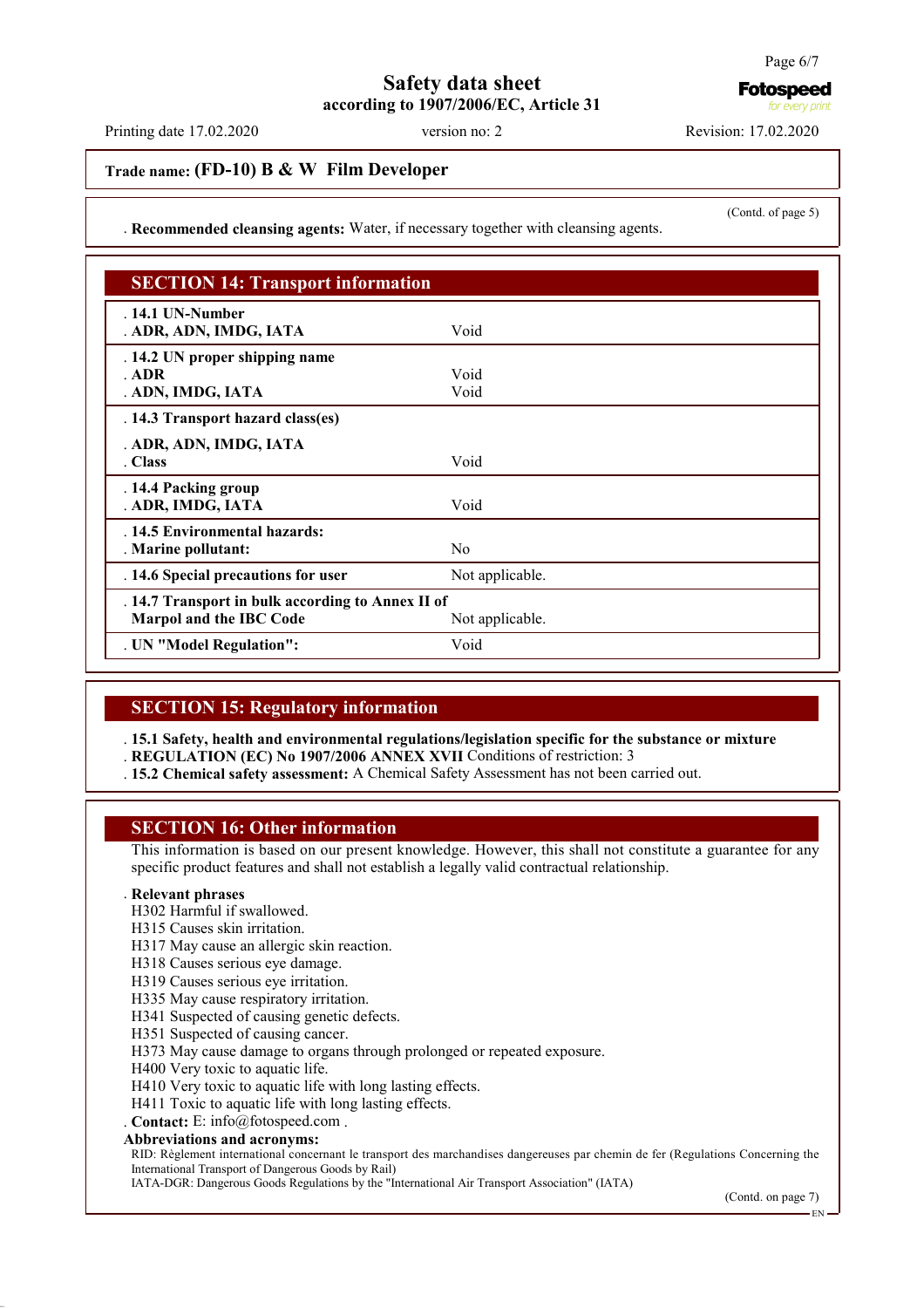Printing date 17.02.2020 version no: 2 Revision: 17.02.2020

## **Trade name: (FD-10) B & W Film Developer**

. **Recommended cleansing agents:** Water, if necessary together with cleansing agents.

| <b>SECTION 14: Transport information</b>                                                        |                 |  |
|-------------------------------------------------------------------------------------------------|-----------------|--|
| $.14.1$ UN-Number<br>. ADR, ADN, IMDG, IATA                                                     | Void            |  |
| . 14.2 UN proper shipping name<br>ADR<br>. ADN, IMDG, IATA                                      | Void<br>Void    |  |
| . 14.3 Transport hazard class(es)                                                               |                 |  |
| . ADR, ADN, IMDG, IATA<br>. Class                                                               | Void            |  |
| . 14.4 Packing group<br>. ADR, IMDG, IATA                                                       | Void            |  |
| . 14.5 Environmental hazards:<br>. Marine pollutant:                                            | No              |  |
| . 14.6 Special precautions for user                                                             | Not applicable. |  |
| . 14.7 Transport in bulk according to Annex II of<br>Marpol and the IBC Code<br>Not applicable. |                 |  |
| . UN "Model Regulation":                                                                        | Void            |  |

### **SECTION 15: Regulatory information**

. **15.1 Safety, health and environmental regulations/legislation specific for the substance or mixture**

. **REGULATION (EC) No 1907/2006 ANNEX XVII** Conditions of restriction: 3

. **15.2 Chemical safety assessment:** A Chemical Safety Assessment has not been carried out.

#### **SECTION 16: Other information**

This information is based on our present knowledge. However, this shall not constitute a guarantee for any specific product features and shall not establish a legally valid contractual relationship.

#### . **Relevant phrases**

H302 Harmful if swallowed.

H315 Causes skin irritation.

H317 May cause an allergic skin reaction.

H318 Causes serious eye damage.

H319 Causes serious eye irritation.

H335 May cause respiratory irritation.

H341 Suspected of causing genetic defects.

H351 Suspected of causing cancer.

H373 May cause damage to organs through prolonged or repeated exposure.

H400 Very toxic to aquatic life.

H410 Very toxic to aquatic life with long lasting effects.

H411 Toxic to aquatic life with long lasting effects.

. **Contact:** E: info@fotospeed.com .

**Abbreviations and acronyms:**

RID: Règlement international concernant le transport des marchandises dangereuses par chemin de fer (Regulations Concerning the International Transport of Dangerous Goods by Rail)

IATA-DGR: Dangerous Goods Regulations by the "International Air Transport Association" (IATA)

EN

for every pril

(Contd. of page 5)